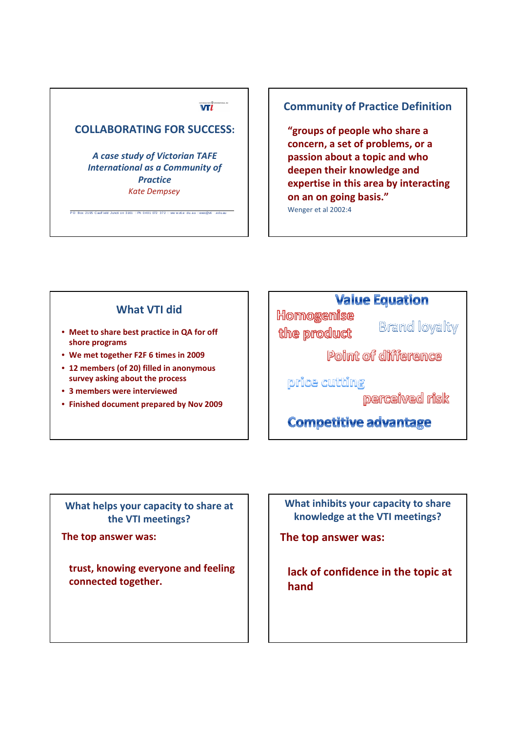#### $\overline{M}$

### COLLABORATING FOR SUCCESS:

A case study of Victorian TAFE International as a Community of **Practice** Kate Dempsey

PO Box 21 95 C aulf ield Juncti on 3161 Ph 0 401 072 372 www.vti.edu.au exec@vti

### Community of Practice Definition

"groups of people who share a concern, a set of problems, or a passion about a topic and who deepen their knowledge and expertise in this area by interacting on an on going basis." Wenger et al 2002:4

## What VTI did

- Meet to share best practice in QA for off shore programs
- We met together F2F 6 times in 2009
- 12 members (of 20) filled in anonymous survey asking about the process
- 3 members were interviewed
- Finished document prepared by Nov 2009

# **Value Equation**

Homogenise the product

Brand loyalty

Point of difference

price cutting

perceived risk

**Competitive advantage** 

What helps your capacity to share at the VTI meetings?

The top answer was:

trust, knowing everyone and feeling connected together.

What inhibits your capacity to share knowledge at the VTI meetings?

The top answer was:

lack of confidence in the topic at hand